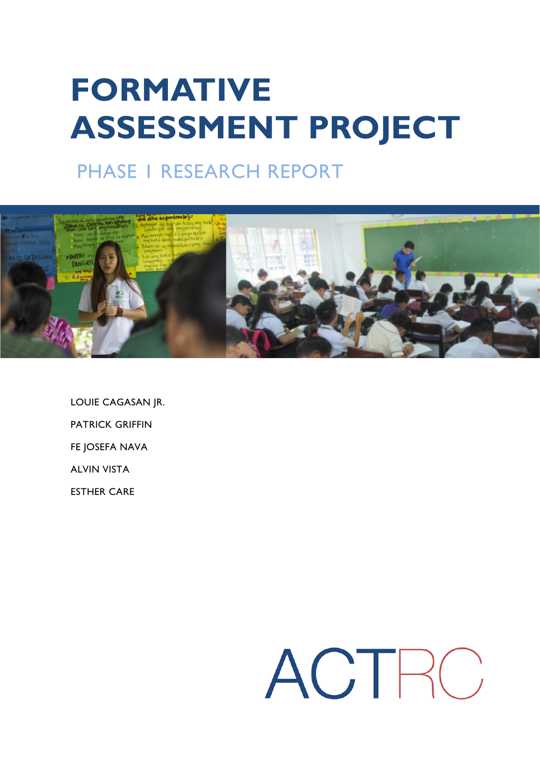# **FORMATIVE ASSESSMENT PROJECT**

# PHASE 1 RESEARCH REPORT



LOUIE CAGASAN JR. PATRICK GRIFFIN FE JOSEFA NAVA ALVIN VISTA ESTHER CARE

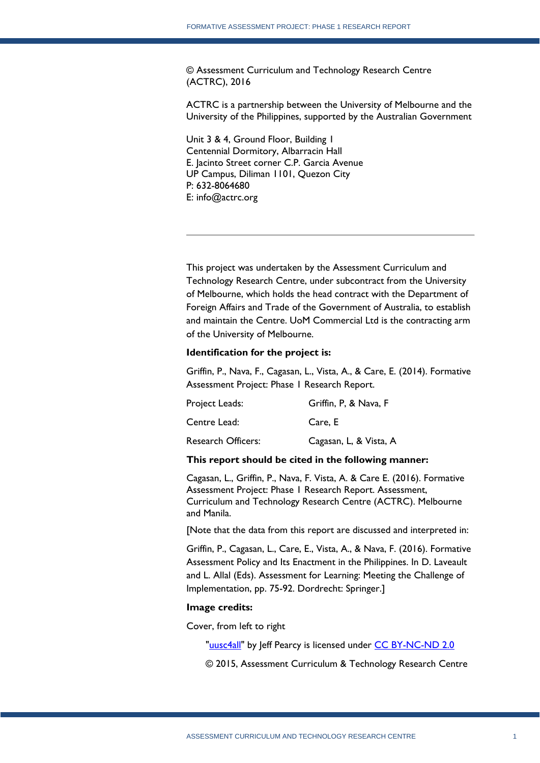© Assessment Curriculum and Technology Research Centre (ACTRC), 2016

ACTRC is a partnership between the University of Melbourne and the University of the Philippines, supported by the Australian Government

Unit 3 & 4, Ground Floor, Building 1 Centennial Dormitory, Albarracin Hall E. Jacinto Street corner C.P. Garcia Avenue UP Campus, Diliman 1101, Quezon City P: 632-8064680 E: info@actrc.org

This project was undertaken by the Assessment Curriculum and Technology Research Centre, under subcontract from the University of Melbourne, which holds the head contract with the Department of Foreign Affairs and Trade of the Government of Australia, to establish and maintain the Centre. UoM Commercial Ltd is the contracting arm of the University of Melbourne.

#### **Identification for the project is:**

Griffin, P., Nava, F., Cagasan, L., Vista, A., & Care, E. (2014). Formative Assessment Project: Phase 1 Research Report.

| Project Leads:            | Griffin, P, & Nava, F  |
|---------------------------|------------------------|
| Centre Lead:              | Care. E                |
| <b>Research Officers:</b> | Cagasan, L, & Vista, A |

#### **This report should be cited in the following manner:**

Cagasan, L., Griffin, P., Nava, F. Vista, A. & Care E. (2016). Formative Assessment Project: Phase 1 Research Report. Assessment, Curriculum and Technology Research Centre (ACTRC). Melbourne and Manila.

[Note that the data from this report are discussed and interpreted in:

Griffin, P., Cagasan, L., Care, E., Vista, A., & Nava, F. (2016). Formative Assessment Policy and Its Enactment in the Philippines. In D. Laveault and L. Allal (Eds). Assessment for Learning: Meeting the Challenge of Implementation, pp. 75-92. Dordrecht: Springer.]

#### **Image credits:**

Cover, from left to right

["uusc4all"](https://www.flickr.com/photos/uusc4all/15457080460/) by Jeff Pearcy is licensed under [CC BY-NC-ND 2.0](https://creativecommons.org/licenses/by-nc-nd/2.0/)

© 2015, Assessment Curriculum & Technology Research Centre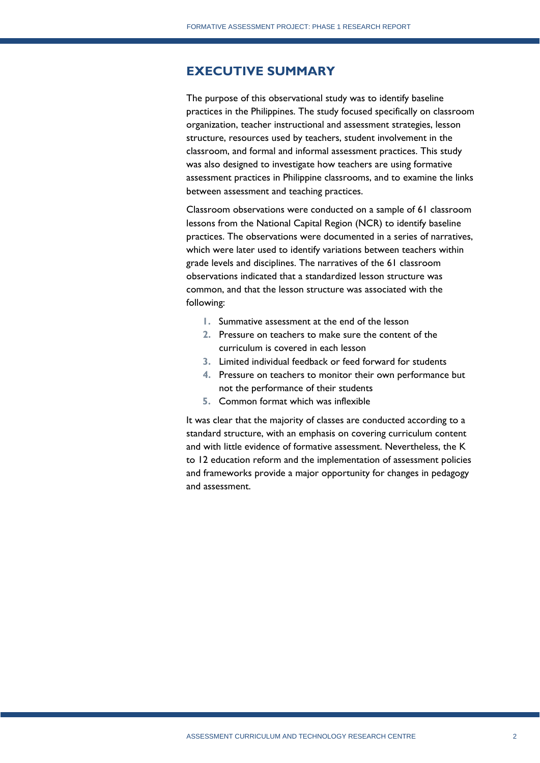# **EXECUTIVE SUMMARY**

The purpose of this observational study was to identify baseline practices in the Philippines. The study focused specifically on classroom organization, teacher instructional and assessment strategies, lesson structure, resources used by teachers, student involvement in the classroom, and formal and informal assessment practices. This study was also designed to investigate how teachers are using formative assessment practices in Philippine classrooms, and to examine the links between assessment and teaching practices.

Classroom observations were conducted on a sample of 61 classroom lessons from the National Capital Region (NCR) to identify baseline practices. The observations were documented in a series of narratives, which were later used to identify variations between teachers within grade levels and disciplines. The narratives of the 61 classroom observations indicated that a standardized lesson structure was common, and that the lesson structure was associated with the following:

- **1.** Summative assessment at the end of the lesson
- **2.** Pressure on teachers to make sure the content of the curriculum is covered in each lesson
- **3.** Limited individual feedback or feed forward for students
- **4.** Pressure on teachers to monitor their own performance but not the performance of their students
- **5.** Common format which was inflexible

It was clear that the majority of classes are conducted according to a standard structure, with an emphasis on covering curriculum content and with little evidence of formative assessment. Nevertheless, the K to 12 education reform and the implementation of assessment policies and frameworks provide a major opportunity for changes in pedagogy and assessment.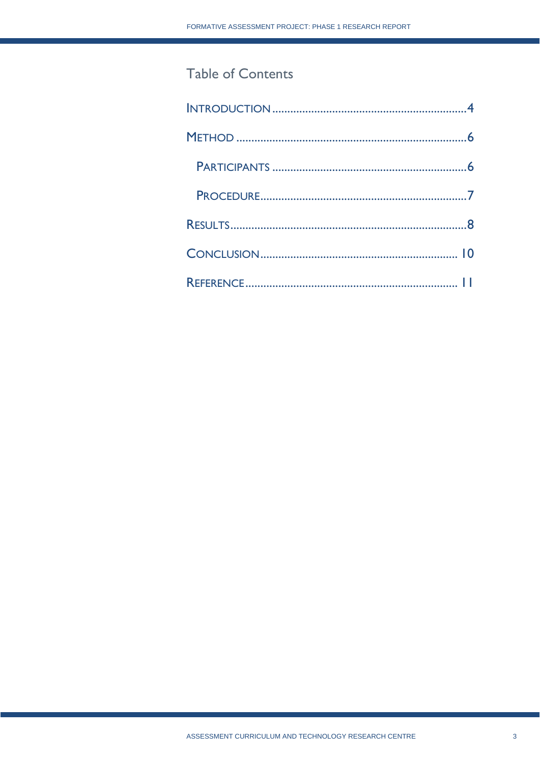# Table of Contents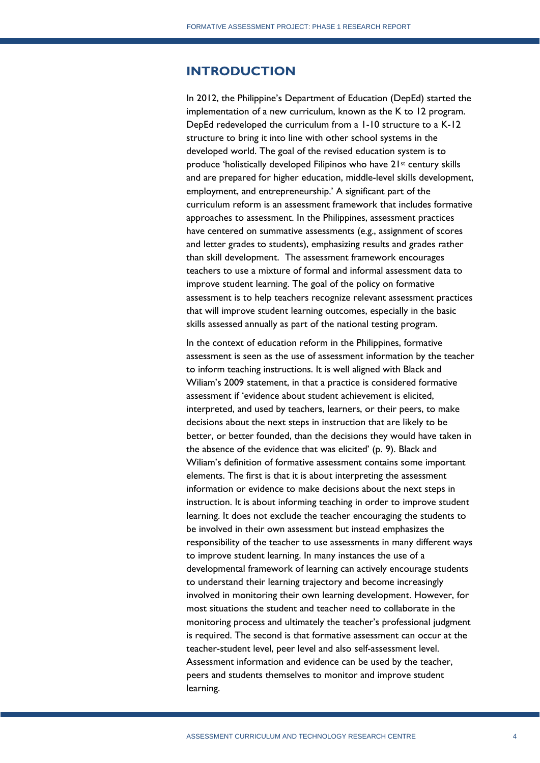# <span id="page-4-0"></span>**INTRODUCTION**

In 2012, the Philippine's Department of Education (DepEd) started the implementation of a new curriculum, known as the K to 12 program. DepEd redeveloped the curriculum from a 1-10 structure to a K-12 structure to bring it into line with other school systems in the developed world. The goal of the revised education system is to produce 'holistically developed Filipinos who have 21st century skills and are prepared for higher education, middle-level skills development, employment, and entrepreneurship.' A significant part of the curriculum reform is an assessment framework that includes formative approaches to assessment. In the Philippines, assessment practices have centered on summative assessments (e.g., assignment of scores and letter grades to students), emphasizing results and grades rather than skill development. The assessment framework encourages teachers to use a mixture of formal and informal assessment data to improve student learning. The goal of the policy on formative assessment is to help teachers recognize relevant assessment practices that will improve student learning outcomes, especially in the basic skills assessed annually as part of the national testing program.

In the context of education reform in the Philippines, formative assessment is seen as the use of assessment information by the teacher to inform teaching instructions. It is well aligned with Black and Wiliam's 2009 statement, in that a practice is considered formative assessment if 'evidence about student achievement is elicited, interpreted, and used by teachers, learners, or their peers, to make decisions about the next steps in instruction that are likely to be better, or better founded, than the decisions they would have taken in the absence of the evidence that was elicited' (p. 9). Black and Wiliam's definition of formative assessment contains some important elements. The first is that it is about interpreting the assessment information or evidence to make decisions about the next steps in instruction. It is about informing teaching in order to improve student learning. It does not exclude the teacher encouraging the students to be involved in their own assessment but instead emphasizes the responsibility of the teacher to use assessments in many different ways to improve student learning. In many instances the use of a developmental framework of learning can actively encourage students to understand their learning trajectory and become increasingly involved in monitoring their own learning development. However, for most situations the student and teacher need to collaborate in the monitoring process and ultimately the teacher's professional judgment is required. The second is that formative assessment can occur at the teacher-student level, peer level and also self-assessment level. Assessment information and evidence can be used by the teacher, peers and students themselves to monitor and improve student learning.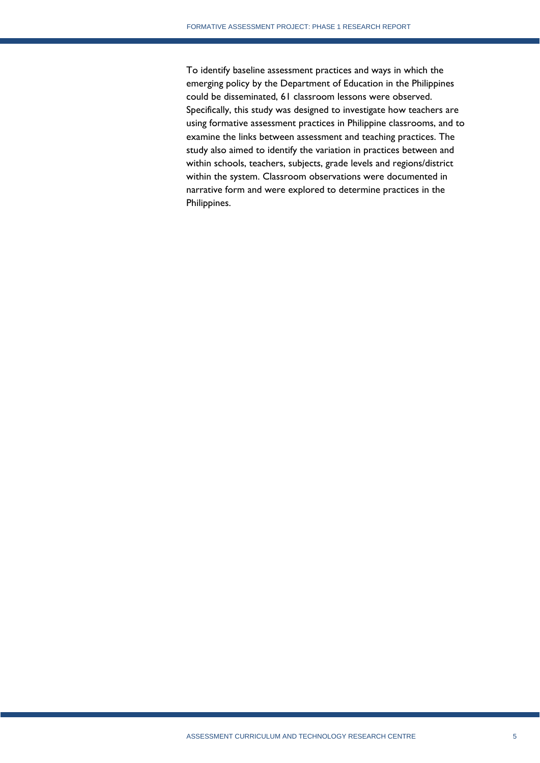To identify baseline assessment practices and ways in which the emerging policy by the Department of Education in the Philippines could be disseminated, 61 classroom lessons were observed. Specifically, this study was designed to investigate how teachers are using formative assessment practices in Philippine classrooms, and to examine the links between assessment and teaching practices. The study also aimed to identify the variation in practices between and within schools, teachers, subjects, grade levels and regions/district within the system. Classroom observations were documented in narrative form and were explored to determine practices in the Philippines.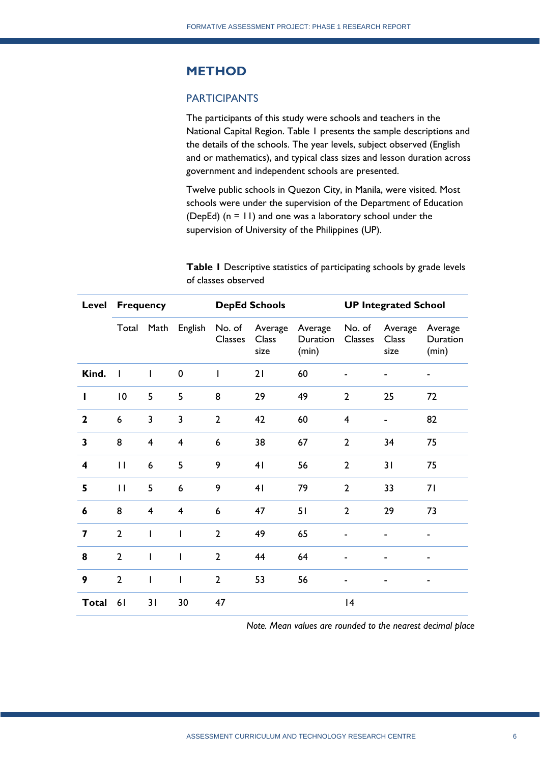# <span id="page-6-0"></span>**METHOD**

### <span id="page-6-1"></span>PARTICIPANTS

The participants of this study were schools and teachers in the National Capital Region. Table 1 presents the sample descriptions and the details of the schools. The year levels, subject observed (English and or mathematics), and typical class sizes and lesson duration across government and independent schools are presented.

Twelve public schools in Quezon City, in Manila, were visited. Most schools were under the supervision of the Department of Education (DepEd) (n = 11) and one was a laboratory school under the supervision of University of the Philippines (UP).

**Table 1** Descriptive statistics of participating schools by grade levels of classes observed

|                         |                 | <b>Level Frequency</b> |                |                          | <b>DepEd Schools</b>            |                              | <b>UP Integrated School</b> |                          |                              |
|-------------------------|-----------------|------------------------|----------------|--------------------------|---------------------------------|------------------------------|-----------------------------|--------------------------|------------------------------|
|                         | Total           | Math                   | English        | No. of<br><b>Classes</b> | Average<br><b>Class</b><br>size | Average<br>Duration<br>(min) | No. of<br>Classes           | Average<br>Class<br>size | Average<br>Duration<br>(min) |
| Kind.                   | $\blacksquare$  | I                      | $\mathbf 0$    | $\mathsf{I}$             | 21                              | 60                           |                             |                          |                              |
| ı                       | $\overline{10}$ | 5                      | 5              | 8                        | 29                              | 49                           | $\overline{2}$              | 25                       | 72                           |
| $\mathbf{2}$            | 6               | 3                      | 3              | $\overline{2}$           | 42                              | 60                           | $\overline{4}$              |                          | 82                           |
| $\overline{\mathbf{3}}$ | 8               | $\overline{4}$         | $\overline{4}$ | 6                        | 38                              | 67                           | $\overline{2}$              | 34                       | 75                           |
| $\overline{\mathbf{4}}$ | $\mathbf{I}$    | 6                      | 5              | 9                        | 41                              | 56                           | $\overline{2}$              | 31                       | 75                           |
| 5                       | $\mathbf{I}$    | 5                      | 6              | 9                        | 41                              | 79                           | $\overline{2}$              | 33                       | 71                           |
| 6                       | 8               | $\overline{4}$         | $\overline{4}$ | 6                        | 47                              | 51                           | $\overline{2}$              | 29                       | 73                           |
| 7                       | $\overline{2}$  | I                      | $\overline{1}$ | $\overline{2}$           | 49                              | 65                           |                             |                          |                              |
| 8                       | $\overline{2}$  | ı                      |                | $\overline{2}$           | 44                              | 64                           |                             |                          | ۰                            |
| 9                       | $\overline{2}$  | I                      | $\overline{1}$ | $\overline{2}$           | 53                              | 56                           |                             |                          |                              |
| <b>Total</b>            | 61              | 31                     | 30             | 47                       |                                 |                              | 4                           |                          |                              |

*Note. Mean values are rounded to the nearest decimal place*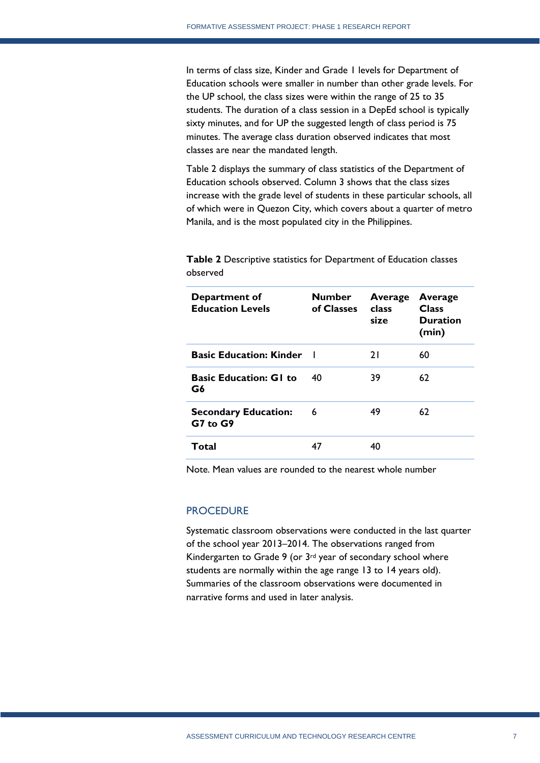In terms of class size, Kinder and Grade 1 levels for Department of Education schools were smaller in number than other grade levels. For the UP school, the class sizes were within the range of 25 to 35 students. The duration of a class session in a DepEd school is typically sixty minutes, and for UP the suggested length of class period is 75 minutes. The average class duration observed indicates that most classes are near the mandated length.

Table 2 displays the summary of class statistics of the Department of Education schools observed. Column 3 shows that the class sizes increase with the grade level of students in these particular schools, all of which were in Quezon City, which covers about a quarter of metro Manila, and is the most populated city in the Philippines.

| Department of<br><b>Education Levels</b> | <b>Number</b><br>of Classes | Average<br>class<br>size | Average<br><b>Class</b><br><b>Duration</b><br>(min) |
|------------------------------------------|-----------------------------|--------------------------|-----------------------------------------------------|
| <b>Basic Education: Kinder</b>           |                             | 21                       | 60                                                  |
| <b>Basic Education: G1 to</b><br>G6      | 40                          | 39                       | 62                                                  |
| <b>Secondary Education:</b><br>G7 to G9  | 6                           | 49                       | 62                                                  |
| Total                                    | 47                          | 40                       |                                                     |

**Table 2** Descriptive statistics for Department of Education classes observed

Note. Mean values are rounded to the nearest whole number

#### <span id="page-7-0"></span>**PROCEDURE**

<span id="page-7-1"></span>Systematic classroom observations were conducted in the last quarter of the school year 2013–2014. The observations ranged from Kindergarten to Grade 9 (or 3rd year of secondary school where students are normally within the age range 13 to 14 years old). Summaries of the classroom observations were documented in narrative forms and used in later analysis.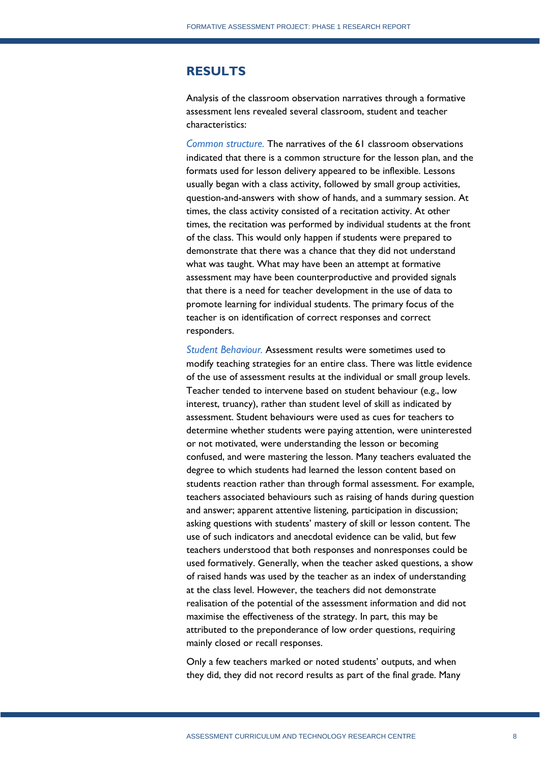## **RESULTS**

Analysis of the classroom observation narratives through a formative assessment lens revealed several classroom, student and teacher characteristics:

*Common structure.* The narratives of the 61 classroom observations indicated that there is a common structure for the lesson plan, and the formats used for lesson delivery appeared to be inflexible. Lessons usually began with a class activity, followed by small group activities, question-and-answers with show of hands, and a summary session. At times, the class activity consisted of a recitation activity. At other times, the recitation was performed by individual students at the front of the class. This would only happen if students were prepared to demonstrate that there was a chance that they did not understand what was taught. What may have been an attempt at formative assessment may have been counterproductive and provided signals that there is a need for teacher development in the use of data to promote learning for individual students. The primary focus of the teacher is on identification of correct responses and correct responders.

*Student Behaviour.* Assessment results were sometimes used to modify teaching strategies for an entire class. There was little evidence of the use of assessment results at the individual or small group levels. Teacher tended to intervene based on student behaviour (e.g., low interest, truancy), rather than student level of skill as indicated by assessment. Student behaviours were used as cues for teachers to determine whether students were paying attention, were uninterested or not motivated, were understanding the lesson or becoming confused, and were mastering the lesson. Many teachers evaluated the degree to which students had learned the lesson content based on students reaction rather than through formal assessment. For example, teachers associated behaviours such as raising of hands during question and answer; apparent attentive listening, participation in discussion; asking questions with students' mastery of skill or lesson content. The use of such indicators and anecdotal evidence can be valid, but few teachers understood that both responses and nonresponses could be used formatively. Generally, when the teacher asked questions, a show of raised hands was used by the teacher as an index of understanding at the class level. However, the teachers did not demonstrate realisation of the potential of the assessment information and did not maximise the effectiveness of the strategy. In part, this may be attributed to the preponderance of low order questions, requiring mainly closed or recall responses.

Only a few teachers marked or noted students' outputs, and when they did, they did not record results as part of the final grade. Many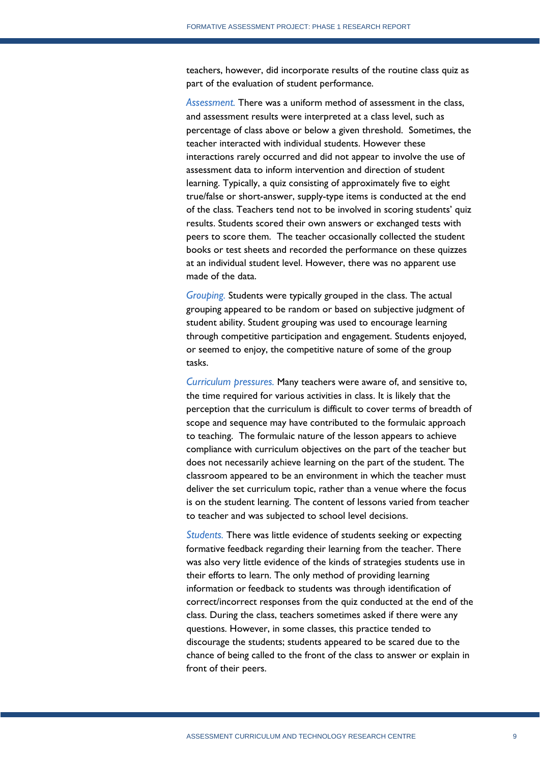teachers, however, did incorporate results of the routine class quiz as part of the evaluation of student performance.

*Assessment.* There was a uniform method of assessment in the class, and assessment results were interpreted at a class level, such as percentage of class above or below a given threshold. Sometimes, the teacher interacted with individual students. However these interactions rarely occurred and did not appear to involve the use of assessment data to inform intervention and direction of student learning. Typically, a quiz consisting of approximately five to eight true/false or short-answer, supply-type items is conducted at the end of the class. Teachers tend not to be involved in scoring students' quiz results. Students scored their own answers or exchanged tests with peers to score them. The teacher occasionally collected the student books or test sheets and recorded the performance on these quizzes at an individual student level. However, there was no apparent use made of the data.

*Grouping.* Students were typically grouped in the class. The actual grouping appeared to be random or based on subjective judgment of student ability. Student grouping was used to encourage learning through competitive participation and engagement. Students enjoyed, or seemed to enjoy, the competitive nature of some of the group tasks.

*Curriculum pressures.* Many teachers were aware of, and sensitive to, the time required for various activities in class. It is likely that the perception that the curriculum is difficult to cover terms of breadth of scope and sequence may have contributed to the formulaic approach to teaching. The formulaic nature of the lesson appears to achieve compliance with curriculum objectives on the part of the teacher but does not necessarily achieve learning on the part of the student. The classroom appeared to be an environment in which the teacher must deliver the set curriculum topic, rather than a venue where the focus is on the student learning. The content of lessons varied from teacher to teacher and was subjected to school level decisions.

*Students.* There was little evidence of students seeking or expecting formative feedback regarding their learning from the teacher. There was also very little evidence of the kinds of strategies students use in their efforts to learn. The only method of providing learning information or feedback to students was through identification of correct/incorrect responses from the quiz conducted at the end of the class. During the class, teachers sometimes asked if there were any questions. However, in some classes, this practice tended to discourage the students; students appeared to be scared due to the chance of being called to the front of the class to answer or explain in front of their peers.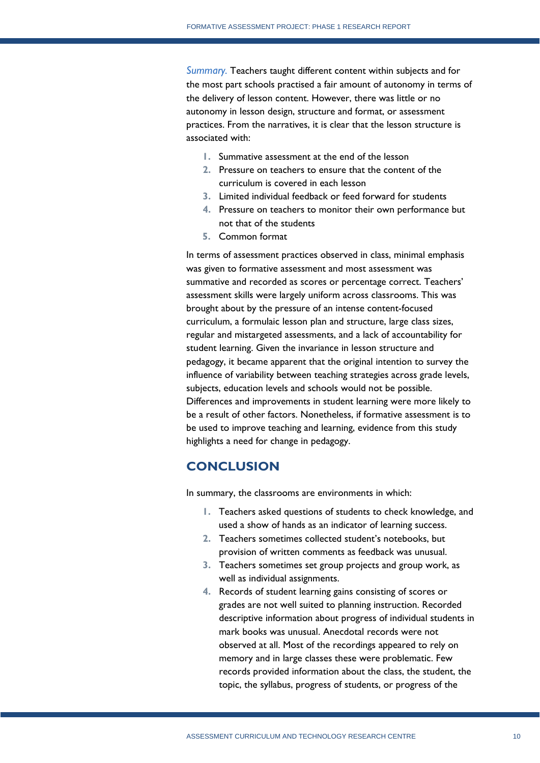*Summary.* Teachers taught different content within subjects and for the most part schools practised a fair amount of autonomy in terms of the delivery of lesson content. However, there was little or no autonomy in lesson design, structure and format, or assessment practices. From the narratives, it is clear that the lesson structure is associated with:

- **1.** Summative assessment at the end of the lesson
- **2.** Pressure on teachers to ensure that the content of the curriculum is covered in each lesson
- **3.** Limited individual feedback or feed forward for students
- **4.** Pressure on teachers to monitor their own performance but not that of the students
- **5.** Common format

In terms of assessment practices observed in class, minimal emphasis was given to formative assessment and most assessment was summative and recorded as scores or percentage correct. Teachers' assessment skills were largely uniform across classrooms. This was brought about by the pressure of an intense content-focused curriculum, a formulaic lesson plan and structure, large class sizes, regular and mistargeted assessments, and a lack of accountability for student learning. Given the invariance in lesson structure and pedagogy, it became apparent that the original intention to survey the influence of variability between teaching strategies across grade levels, subjects, education levels and schools would not be possible. Differences and improvements in student learning were more likely to be a result of other factors. Nonetheless, if formative assessment is to be used to improve teaching and learning, evidence from this study highlights a need for change in pedagogy.

# <span id="page-10-0"></span>**CONCLUSION**

In summary, the classrooms are environments in which:

- **1.** Teachers asked questions of students to check knowledge, and used a show of hands as an indicator of learning success.
- **2.** Teachers sometimes collected student's notebooks, but provision of written comments as feedback was unusual.
- **3.** Teachers sometimes set group projects and group work, as well as individual assignments.
- **4.** Records of student learning gains consisting of scores or grades are not well suited to planning instruction. Recorded descriptive information about progress of individual students in mark books was unusual. Anecdotal records were not observed at all. Most of the recordings appeared to rely on memory and in large classes these were problematic. Few records provided information about the class, the student, the topic, the syllabus, progress of students, or progress of the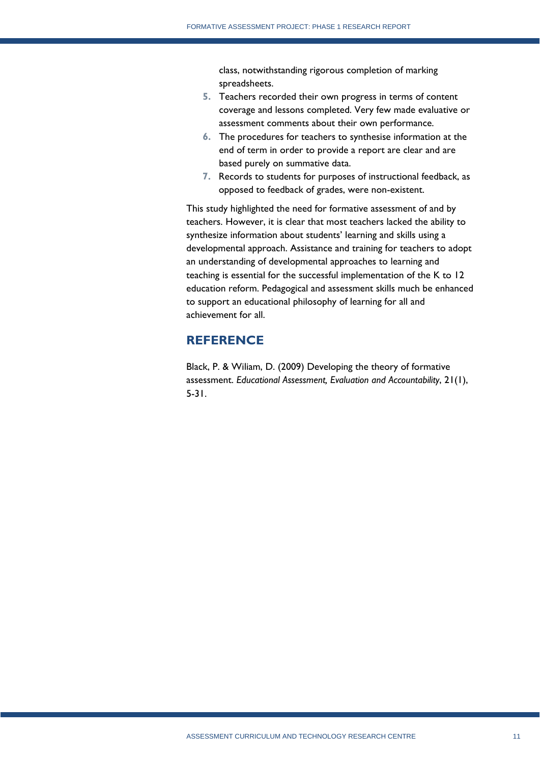class, notwithstanding rigorous completion of marking spreadsheets.

- **5.** Teachers recorded their own progress in terms of content coverage and lessons completed. Very few made evaluative or assessment comments about their own performance.
- **6.** The procedures for teachers to synthesise information at the end of term in order to provide a report are clear and are based purely on summative data.
- **7.** Records to students for purposes of instructional feedback, as opposed to feedback of grades, were non-existent.

This study highlighted the need for formative assessment of and by teachers. However, it is clear that most teachers lacked the ability to synthesize information about students' learning and skills using a developmental approach. Assistance and training for teachers to adopt an understanding of developmental approaches to learning and teaching is essential for the successful implementation of the K to 12 education reform. Pedagogical and assessment skills much be enhanced to support an educational philosophy of learning for all and achievement for all.

# <span id="page-11-0"></span>**REFERENCE**

Black, P. & Wiliam, D. (2009) Developing the theory of formative assessment. *Educational Assessment, Evaluation and Accountability*, 21(1), 5-31.